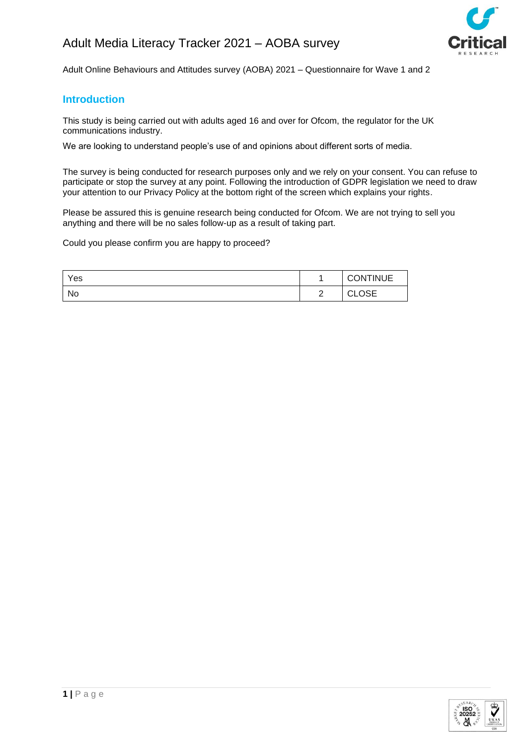

Adult Online Behaviours and Attitudes survey (AOBA) 2021 – Questionnaire for Wave 1 and 2

# **Introduction**

This study is being carried out with adults aged 16 and over for Ofcom, the regulator for the UK communications industry.

We are looking to understand people's use of and opinions about different sorts of media.

The survey is being conducted for research purposes only and we rely on your consent. You can refuse to participate or stop the survey at any point. Following the introduction of GDPR legislation we need to draw your attention to our Privacy Policy at the bottom right of the screen which explains your rights.

Please be assured this is genuine research being conducted for Ofcom. We are not trying to sell you anything and there will be no sales follow-up as a result of taking part.

Could you please confirm you are happy to proceed?

| Yes |               | <b>CONTINUE</b>        |
|-----|---------------|------------------------|
| No  | ົ<br><u>_</u> | ∩≈⊏<br>$\sim$<br>◡∟◡◡∟ |

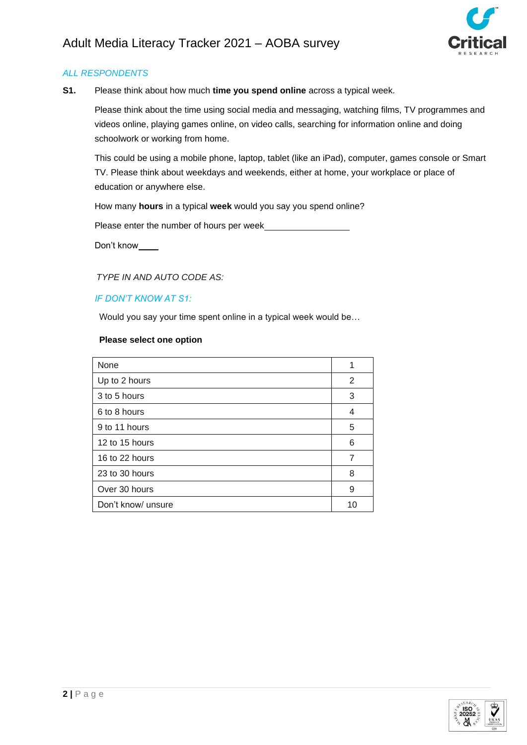

**S1.** Please think about how much **time you spend online** across a typical week.

Please think about the time using social media and messaging, watching films, TV programmes and videos online, playing games online, on video calls, searching for information online and doing schoolwork or working from home.

This could be using a mobile phone, laptop, tablet (like an iPad), computer, games console or Smart TV. Please think about weekdays and weekends, either at home, your workplace or place of education or anywhere else.

How many **hours** in a typical **week** would you say you spend online?

Please enter the number of hours per week

Don't know\_

 *TYPE IN AND AUTO CODE AS:*

### *IF DON'T KNOW AT S1:*

Would you say your time spent online in a typical week would be…

| None               | 1  |
|--------------------|----|
| Up to 2 hours      | 2  |
| 3 to 5 hours       | 3  |
| 6 to 8 hours       | 4  |
| 9 to 11 hours      | 5  |
| 12 to 15 hours     | 6  |
| 16 to 22 hours     | 7  |
| 23 to 30 hours     | 8  |
| Over 30 hours      | 9  |
| Don't know/ unsure | 10 |

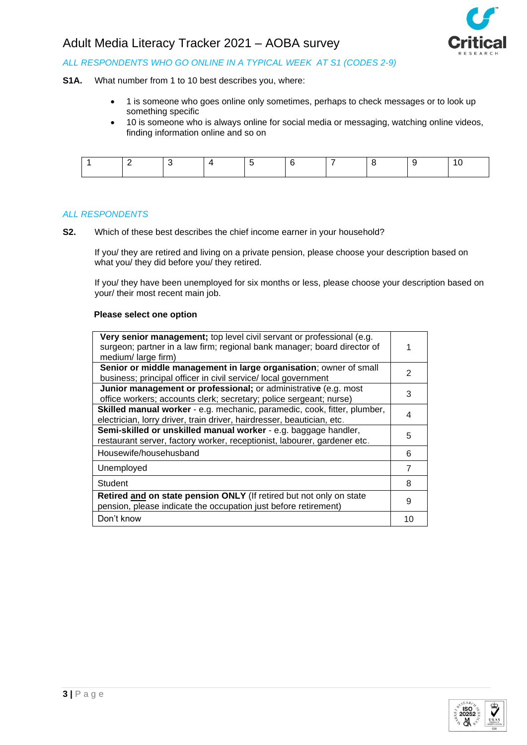

## *ALL RESPONDENTS WHO GO ONLINE IN A TYPICAL WEEK AT S1 (CODES 2-9)*

**S1A.** What number from 1 to 10 best describes you, where:

- 1 is someone who goes online only sometimes, perhaps to check messages or to look up something specific
- 10 is someone who is always online for social media or messaging, watching online videos, finding information online and so on

#### *ALL RESPONDENTS*

**S2.** Which of these best describes the chief income earner in your household?

If you/ they are retired and living on a private pension, please choose your description based on what you/ they did before you/ they retired.

If you/ they have been unemployed for six months or less, please choose your description based on your/ their most recent main job.

| Very senior management; top level civil servant or professional (e.g.<br>surgeon; partner in a law firm; regional bank manager; board director of<br>medium/large firm) |                |
|-------------------------------------------------------------------------------------------------------------------------------------------------------------------------|----------------|
| Senior or middle management in large organisation; owner of small<br>business; principal officer in civil service/ local government                                     | $\mathcal{P}$  |
| Junior management or professional; or administrative (e.g. most<br>office workers; accounts clerk; secretary; police sergeant; nurse)                                   | 3              |
| Skilled manual worker - e.g. mechanic, paramedic, cook, fitter, plumber,<br>electrician, lorry driver, train driver, hairdresser, beautician, etc.                      | 4              |
| Semi-skilled or unskilled manual worker - e.g. baggage handler,<br>restaurant server, factory worker, receptionist, labourer, gardener etc.                             | 5              |
| Housewife/househusband                                                                                                                                                  | 6              |
| Unemployed                                                                                                                                                              | $\overline{7}$ |
| Student                                                                                                                                                                 | 8              |
| Retired and on state pension ONLY (If retired but not only on state<br>pension, please indicate the occupation just before retirement)                                  | 9              |
| Don't know                                                                                                                                                              | 10             |

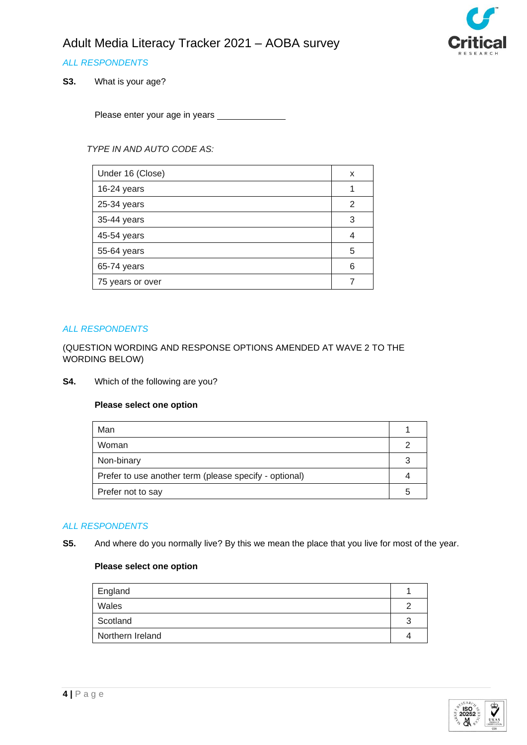

# *ALL RESPONDENTS*

**S3.** What is your age?

Please enter your age in years

*TYPE IN AND AUTO CODE AS:*

| Under 16 (Close) | x |
|------------------|---|
| 16-24 years      |   |
| 25-34 years      | 2 |
| 35-44 years      | 3 |
| 45-54 years      | 4 |
| 55-64 years      | 5 |
| 65-74 years      | 6 |
| 75 years or over |   |

#### *ALL RESPONDENTS*

(QUESTION WORDING AND RESPONSE OPTIONS AMENDED AT WAVE 2 TO THE WORDING BELOW)

**S4.** Which of the following are you?

#### **Please select one option**

| Man                                                    |   |
|--------------------------------------------------------|---|
| Woman                                                  |   |
| Non-binary                                             |   |
| Prefer to use another term (please specify - optional) |   |
| Prefer not to say                                      | h |

# *ALL RESPONDENTS*

**S5.** And where do you normally live? By this we mean the place that you live for most of the year.

| England          |  |
|------------------|--|
| Wales            |  |
| Scotland         |  |
| Northern Ireland |  |

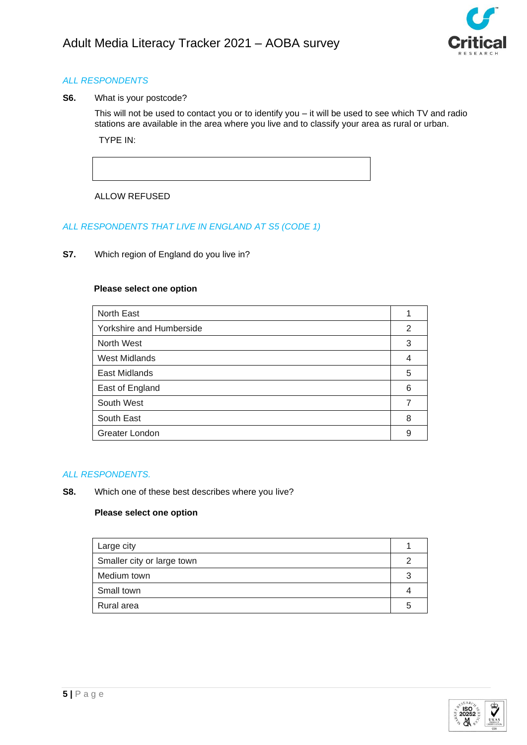

**S6.** What is your postcode?

This will not be used to contact you or to identify you – it will be used to see which TV and radio stations are available in the area where you live and to classify your area as rural or urban. TYPE IN:

ALLOW REFUSED

# *ALL RESPONDENTS THAT LIVE IN ENGLAND AT S5 (CODE 1)*

**S7.** Which region of England do you live in?

### **Please select one option**

| North East               |   |
|--------------------------|---|
| Yorkshire and Humberside | 2 |
| North West               | 3 |
| <b>West Midlands</b>     | 4 |
| East Midlands            | 5 |
| East of England          | 6 |
| South West               | 7 |
| South East               | 8 |
| Greater London           | 9 |

### *ALL RESPONDENTS.*

**S8.** Which one of these best describes where you live?

| Large city                 |   |
|----------------------------|---|
| Smaller city or large town |   |
| Medium town                |   |
| Small town                 |   |
| Rural area                 | ∽ |

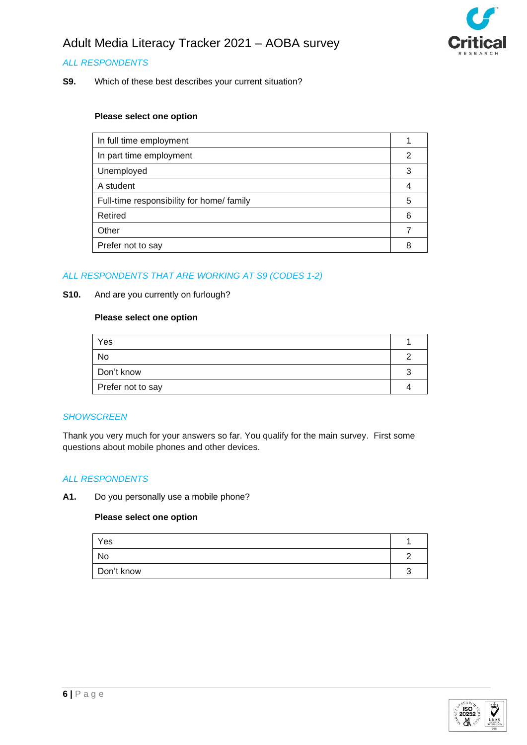

## *ALL RESPONDENTS*

**S9.** Which of these best describes your current situation?

#### **Please select one option**

| In full time employment                   |   |
|-------------------------------------------|---|
| In part time employment                   |   |
| Unemployed                                |   |
| A student                                 |   |
| Full-time responsibility for home/ family | 5 |
| Retired                                   | 6 |
| Other                                     |   |
| Prefer not to say                         |   |

### *ALL RESPONDENTS THAT ARE WORKING AT S9 (CODES 1-2)*

#### **S10.** And are you currently on furlough?

## **Please select one option**

| Yes               |  |
|-------------------|--|
| No                |  |
| Don't know        |  |
| Prefer not to say |  |

### *SHOWSCREEN*

Thank you very much for your answers so far. You qualify for the main survey. First some questions about mobile phones and other devices.

### *ALL RESPONDENTS*

**A1.** Do you personally use a mobile phone?

| Yes        |  |
|------------|--|
| No         |  |
| Don't know |  |

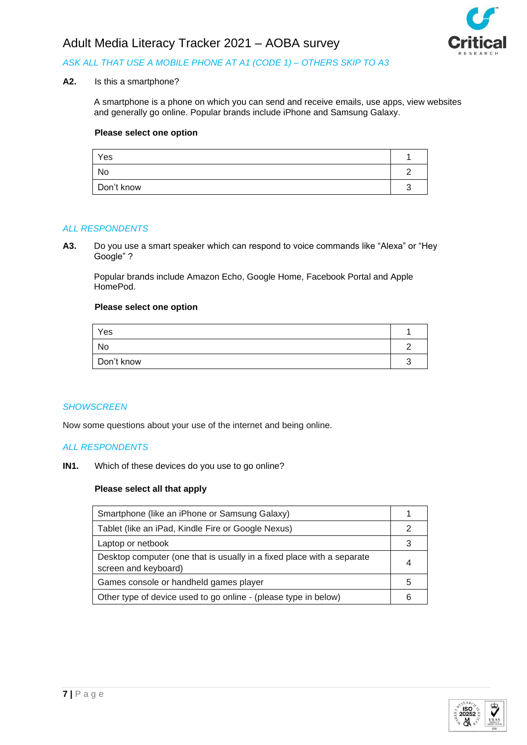

# *ASK ALL THAT USE A MOBILE PHONE AT A1 (CODE 1) – OTHERS SKIP TO A3*

## **A2.** Is this a smartphone?

A smartphone is a phone on which you can send and receive emails, use apps, view websites and generally go online. Popular brands include iPhone and Samsung Galaxy.

#### **Please select one option**

| Yes        |  |
|------------|--|
| No         |  |
| Don't know |  |

#### *ALL RESPONDENTS*

**A3.** Do you use a smart speaker which can respond to voice commands like "Alexa" or "Hey Google" ?

Popular brands include Amazon Echo, Google Home, Facebook Portal and Apple HomePod.

#### **Please select one option**

| Yes        |  |
|------------|--|
| No         |  |
| Don't know |  |

#### *SHOWSCREEN*

Now some questions about your use of the internet and being online.

#### *ALL RESPONDENTS*

**IN1.** Which of these devices do you use to go online?

| Smartphone (like an iPhone or Samsung Galaxy)                                                  |   |
|------------------------------------------------------------------------------------------------|---|
| Tablet (like an iPad, Kindle Fire or Google Nexus)                                             |   |
| Laptop or netbook                                                                              |   |
| Desktop computer (one that is usually in a fixed place with a separate<br>screen and keyboard) |   |
| Games console or handheld games player                                                         | 5 |
| Other type of device used to go online - (please type in below)                                |   |

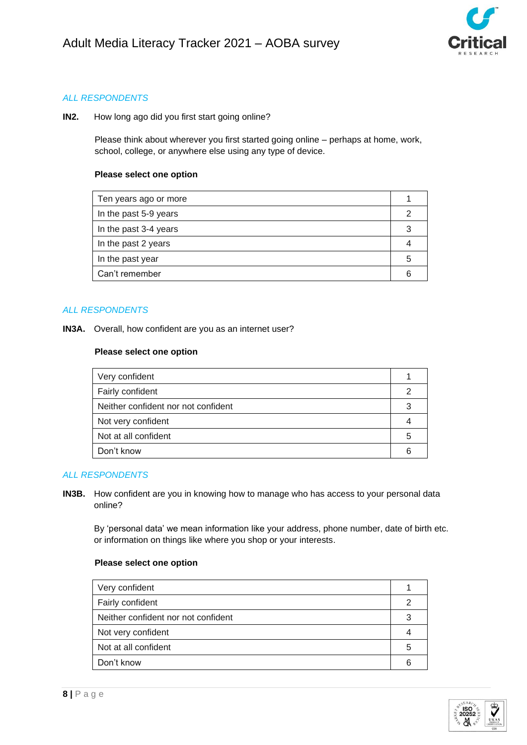

**IN2.** How long ago did you first start going online?

Please think about wherever you first started going online – perhaps at home, work, school, college, or anywhere else using any type of device.

#### **Please select one option**

| Ten years ago or more |   |
|-----------------------|---|
| In the past 5-9 years |   |
| In the past 3-4 years |   |
| In the past 2 years   |   |
| In the past year      | b |
| Can't remember        |   |
|                       |   |

### *ALL RESPONDENTS*

**IN3A.** Overall, how confident are you as an internet user?

### **Please select one option**

| Very confident                      |   |
|-------------------------------------|---|
| Fairly confident                    |   |
| Neither confident nor not confident |   |
| Not very confident                  |   |
| Not at all confident                | h |
| Don't know                          |   |

### *ALL RESPONDENTS*

**IN3B.** How confident are you in knowing how to manage who has access to your personal data online?

By 'personal data' we mean information like your address, phone number, date of birth etc. or information on things like where you shop or your interests.

| Very confident                      |   |
|-------------------------------------|---|
| Fairly confident                    |   |
| Neither confident nor not confident |   |
| Not very confident                  |   |
| Not at all confident                | 5 |
| Don't know                          |   |
|                                     |   |

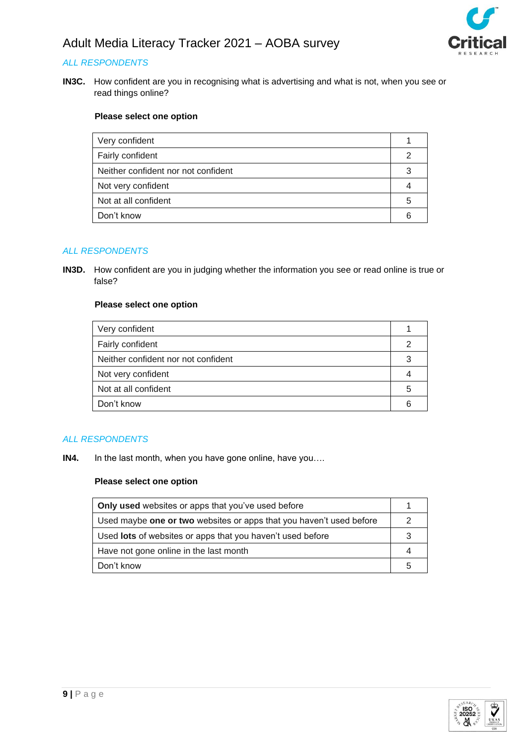

# *ALL RESPONDENTS*

**IN3C.** How confident are you in recognising what is advertising and what is not, when you see or read things online?

## **Please select one option**

| Very confident                      |   |
|-------------------------------------|---|
| Fairly confident                    |   |
| Neither confident nor not confident |   |
| Not very confident                  |   |
| Not at all confident                | 5 |
| Don't know                          |   |

### *ALL RESPONDENTS*

**IN3D.** How confident are you in judging whether the information you see or read online is true or false?

#### **Please select one option**

| Very confident                      |   |
|-------------------------------------|---|
| Fairly confident                    |   |
| Neither confident nor not confident |   |
| Not very confident                  |   |
| Not at all confident                | h |
| Don't know                          |   |

### *ALL RESPONDENTS*

**IN4.** In the last month, when you have gone online, have you….

| <b>Only used</b> websites or apps that you've used before           |    |
|---------------------------------------------------------------------|----|
| Used maybe one or two websites or apps that you haven't used before |    |
| Used <b>lots</b> of websites or apps that you haven't used before   |    |
| Have not gone online in the last month                              |    |
| Don't know                                                          | .h |

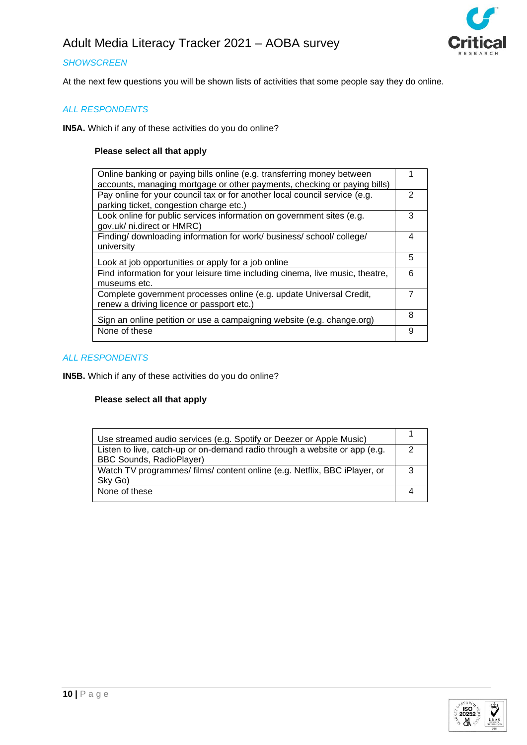

# *SHOWSCREEN*

At the next few questions you will be shown lists of activities that some people say they do online.

## *ALL RESPONDENTS*

**IN5A.** Which if any of these activities do you do online?

## **Please select all that apply**

| Online banking or paying bills online (e.g. transferring money between        |   |
|-------------------------------------------------------------------------------|---|
| accounts, managing mortgage or other payments, checking or paying bills)      |   |
| Pay online for your council tax or for another local council service (e.g.    | 2 |
| parking ticket, congestion charge etc.)                                       |   |
| Look online for public services information on government sites (e.g.         | 3 |
| gov.uk/ ni.direct or HMRC)                                                    |   |
| Finding/ downloading information for work/ business/ school/ college/         | 4 |
| university                                                                    |   |
|                                                                               | 5 |
| Look at job opportunities or apply for a job online                           |   |
| Find information for your leisure time including cinema, live music, theatre, | 6 |
| museums etc.                                                                  |   |
| Complete government processes online (e.g. update Universal Credit,           |   |
| renew a driving licence or passport etc.)                                     |   |
|                                                                               | 8 |
| Sign an online petition or use a campaigning website (e.g. change.org)        |   |
| None of these                                                                 | 9 |
|                                                                               |   |

## *ALL RESPONDENTS*

**IN5B.** Which if any of these activities do you do online?

| Use streamed audio services (e.g. Spotify or Deezer or Apple Music)        |  |
|----------------------------------------------------------------------------|--|
| Listen to live, catch-up or on-demand radio through a website or app (e.g. |  |
| <b>BBC Sounds, RadioPlayer)</b>                                            |  |
| Watch TV programmes/ films/ content online (e.g. Netflix, BBC iPlayer, or  |  |
| Sky Go)                                                                    |  |
| None of these                                                              |  |
|                                                                            |  |

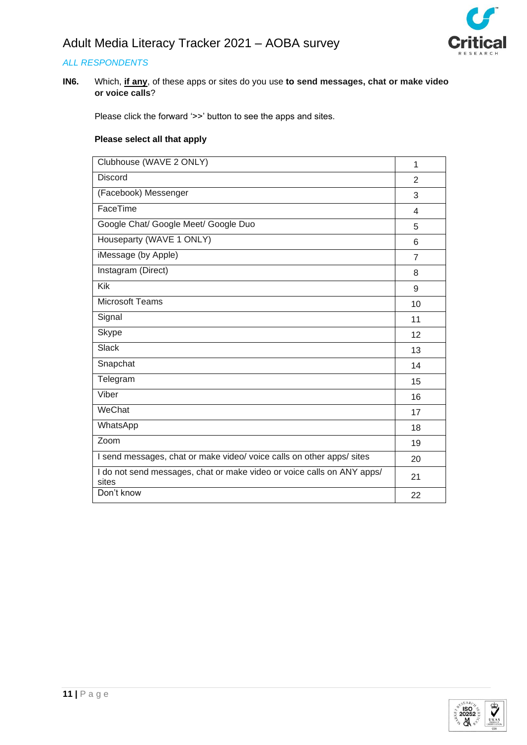

**IN6.** Which, **if any**, of these apps or sites do you use **to send messages, chat or make video or voice calls**?

Please click the forward '>>' button to see the apps and sites.

| Clubhouse (WAVE 2 ONLY)                                                         | $\mathbf 1$    |
|---------------------------------------------------------------------------------|----------------|
| <b>Discord</b>                                                                  | $\overline{2}$ |
| (Facebook) Messenger                                                            | 3              |
| FaceTime                                                                        | 4              |
| Google Chat/ Google Meet/ Google Duo                                            | 5              |
| Houseparty (WAVE 1 ONLY)                                                        | 6              |
| iMessage (by Apple)                                                             | $\overline{7}$ |
| Instagram (Direct)                                                              | 8              |
| <b>Kik</b>                                                                      | 9              |
| <b>Microsoft Teams</b>                                                          | 10             |
| Signal                                                                          | 11             |
| <b>Skype</b>                                                                    | 12             |
| <b>Slack</b>                                                                    | 13             |
| Snapchat                                                                        | 14             |
| Telegram                                                                        | 15             |
| Viber                                                                           | 16             |
| WeChat                                                                          | 17             |
| WhatsApp                                                                        | 18             |
| Zoom                                                                            | 19             |
| I send messages, chat or make video/ voice calls on other apps/ sites           | 20             |
| I do not send messages, chat or make video or voice calls on ANY apps/<br>sites | 21             |
| Don't know                                                                      | 22             |

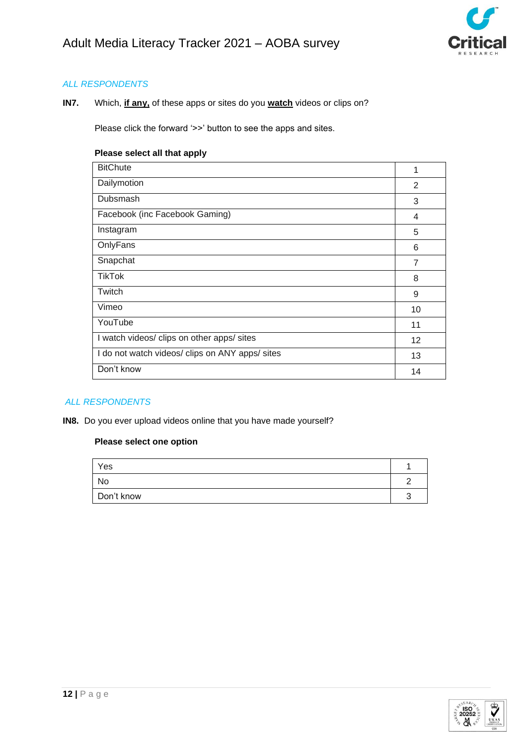

**IN7.** Which, **if any,** of these apps or sites do you **watch** videos or clips on?

Please click the forward '>>' button to see the apps and sites.

## **Please select all that apply**

| <b>BitChute</b>                                 | 1              |
|-------------------------------------------------|----------------|
| Dailymotion                                     | 2              |
| Dubsmash                                        | 3              |
| Facebook (inc Facebook Gaming)                  | 4              |
| Instagram                                       | 5              |
| OnlyFans                                        | 6              |
| Snapchat                                        | $\overline{7}$ |
| <b>TikTok</b>                                   | 8              |
| Twitch                                          | 9              |
| Vimeo                                           | 10             |
| YouTube                                         | 11             |
| I watch videos/ clips on other apps/ sites      | 12             |
| I do not watch videos/ clips on ANY apps/ sites | 13             |
| Don't know                                      | 14             |

# *ALL RESPONDENTS*

**IN8.** Do you ever upload videos online that you have made yourself?

| Yes        |   |
|------------|---|
| No         | , |
| Don't know | ╭ |

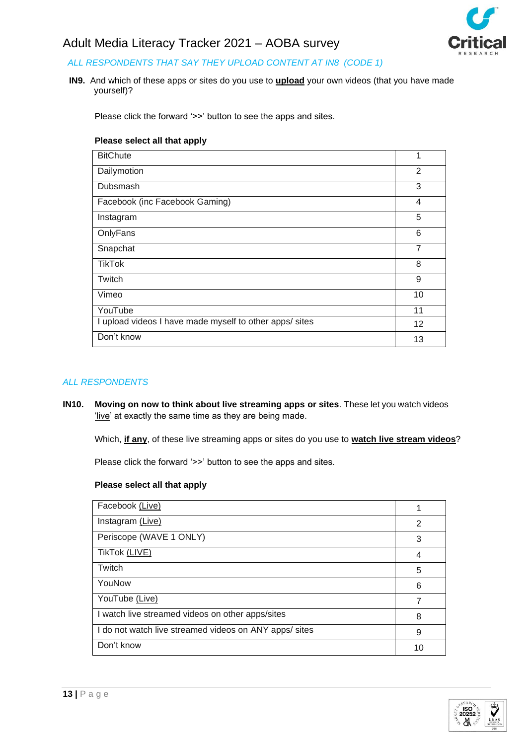

# *ALL RESPONDENTS THAT SAY THEY UPLOAD CONTENT AT IN8 (CODE 1)*

**IN9.** And which of these apps or sites do you use to **upload** your own videos (that you have made yourself)?

Please click the forward '>>' button to see the apps and sites.

#### **Please select all that apply**

| <b>BitChute</b>                                         | 1              |  |
|---------------------------------------------------------|----------------|--|
| Dailymotion                                             | 2              |  |
| Dubsmash                                                | 3              |  |
| Facebook (inc Facebook Gaming)                          | 4              |  |
| Instagram                                               | 5              |  |
| OnlyFans                                                | 6              |  |
| Snapchat                                                | $\overline{7}$ |  |
| TikTok                                                  | 8              |  |
| Twitch                                                  | 9              |  |
| Vimeo                                                   | 10             |  |
| YouTube                                                 | 11             |  |
| I upload videos I have made myself to other apps/ sites |                |  |
| Don't know                                              |                |  |

## *ALL RESPONDENTS*

**IN10. Moving on now to think about live streaming apps or sites**. These let you watch videos 'live' at exactly the same time as they are being made.

Which, **if any**, of these live streaming apps or sites do you use to **watch live stream videos**?

Please click the forward '>>' button to see the apps and sites.

| Facebook (Live)                                        |    |  |  |
|--------------------------------------------------------|----|--|--|
| Instagram (Live)                                       | 2  |  |  |
| Periscope (WAVE 1 ONLY)                                | 3  |  |  |
| TikTok (LIVE)                                          | 4  |  |  |
| Twitch                                                 | 5  |  |  |
| YouNow                                                 | 6  |  |  |
| YouTube (Live)                                         | 7  |  |  |
| I watch live streamed videos on other apps/sites       |    |  |  |
| I do not watch live streamed videos on ANY apps/ sites |    |  |  |
| Don't know                                             | 10 |  |  |

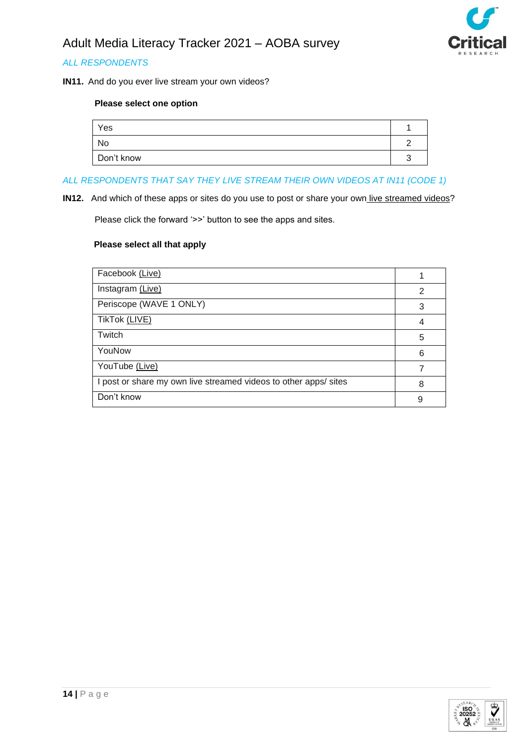

**IN11.** And do you ever live stream your own videos?

# **Please select one option**

| Yes        |  |
|------------|--|
| No         |  |
| Don't know |  |

# *ALL RESPONDENTS THAT SAY THEY LIVE STREAM THEIR OWN VIDEOS AT IN11 (CODE 1)*

**IN12.** And which of these apps or sites do you use to post or share your own live streamed videos?

Please click the forward '>>' button to see the apps and sites.

| Facebook (Live)                                                  |   |
|------------------------------------------------------------------|---|
| Instagram (Live)                                                 | 2 |
| Periscope (WAVE 1 ONLY)                                          | 3 |
| TikTok (LIVE)                                                    | 4 |
| Twitch                                                           | 5 |
| YouNow                                                           | 6 |
| YouTube (Live)                                                   |   |
| I post or share my own live streamed videos to other apps/ sites | 8 |
| Don't know                                                       | 9 |

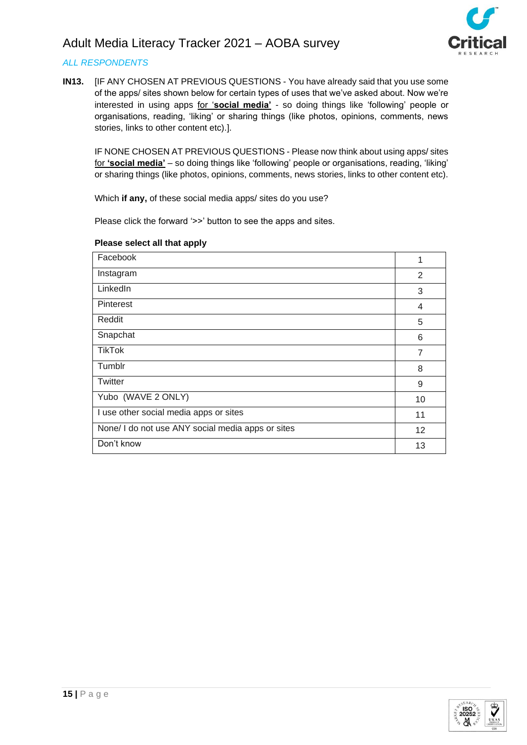

# *ALL RESPONDENTS*

**IN13.** [IF ANY CHOSEN AT PREVIOUS QUESTIONS - You have already said that you use some of the apps/ sites shown below for certain types of uses that we've asked about. Now we're interested in using apps for '**social media'** - so doing things like 'following' people or organisations, reading, 'liking' or sharing things (like photos, opinions, comments, news stories, links to other content etc).].

IF NONE CHOSEN AT PREVIOUS QUESTIONS - Please now think about using apps/ sites for **'social media'** – so doing things like 'following' people or organisations, reading, 'liking' or sharing things (like photos, opinions, comments, news stories, links to other content etc).

Which **if any,** of these social media apps/ sites do you use?

Please click the forward '>>' button to see the apps and sites.

| Facebook                                          |                |  |  |
|---------------------------------------------------|----------------|--|--|
| Instagram                                         | 2              |  |  |
| LinkedIn                                          | 3              |  |  |
| <b>Pinterest</b>                                  | 4              |  |  |
| Reddit                                            | 5              |  |  |
| Snapchat                                          | 6              |  |  |
| <b>TikTok</b>                                     | $\overline{7}$ |  |  |
| Tumblr                                            | 8              |  |  |
| Twitter                                           | 9              |  |  |
| Yubo (WAVE 2 ONLY)                                |                |  |  |
| I use other social media apps or sites            |                |  |  |
| None/ I do not use ANY social media apps or sites |                |  |  |
| Don't know                                        |                |  |  |

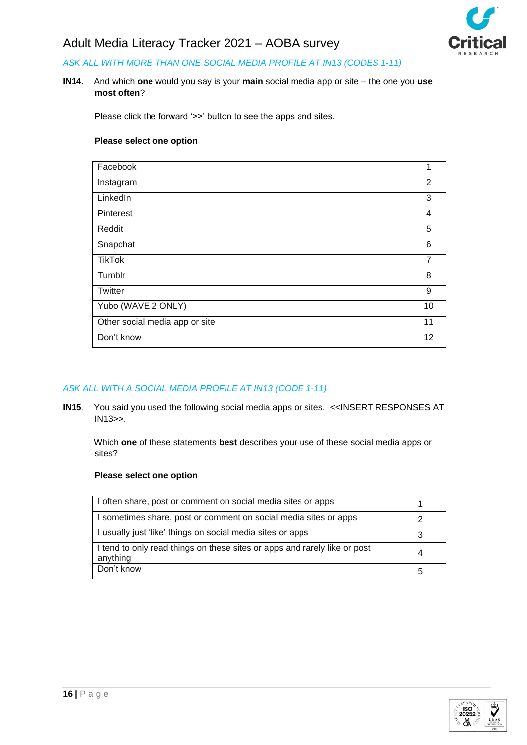

# *ASK ALL WITH MORE THAN ONE SOCIAL MEDIA PROFILE AT IN13 (CODES 1-11)*

**IN14.** And which **one** would you say is your **main** social media app or site – the one you **use most often**?

Please click the forward '>>' button to see the apps and sites.

## **Please select one option**

| Facebook                       | 1              |  |
|--------------------------------|----------------|--|
| Instagram                      | $\overline{2}$ |  |
| LinkedIn                       | 3              |  |
| <b>Pinterest</b>               | 4              |  |
| Reddit                         | 5              |  |
| Snapchat                       | 6              |  |
| <b>TikTok</b>                  | 7              |  |
| Tumblr                         | 8              |  |
| Twitter                        | 9              |  |
| Yubo (WAVE 2 ONLY)             | 10             |  |
| Other social media app or site |                |  |
| Don't know                     |                |  |

### *ASK ALL WITH A SOCIAL MEDIA PROFILE AT IN13 (CODE 1-11)*

**IN15**. You said you used the following social media apps or sites. <<INSERT RESPONSES AT IN13>>.

Which **one** of these statements **best** describes your use of these social media apps or sites?

| I often share, post or comment on social media sites or apps                          |  |  |  |
|---------------------------------------------------------------------------------------|--|--|--|
| I sometimes share, post or comment on social media sites or apps                      |  |  |  |
| I usually just 'like' things on social media sites or apps                            |  |  |  |
| I tend to only read things on these sites or apps and rarely like or post<br>anything |  |  |  |
| Don't know                                                                            |  |  |  |

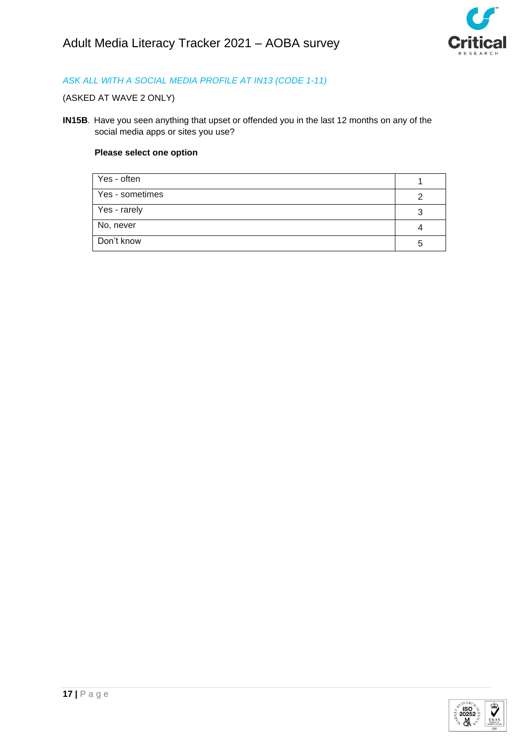

# *ASK ALL WITH A SOCIAL MEDIA PROFILE AT IN13 (CODE 1-11)*

# (ASKED AT WAVE 2 ONLY)

**IN15B**. Have you seen anything that upset or offended you in the last 12 months on any of the social media apps or sites you use?

| Yes - often     |  |
|-----------------|--|
| Yes - sometimes |  |
| Yes - rarely    |  |
| No, never       |  |
| Don't know      |  |

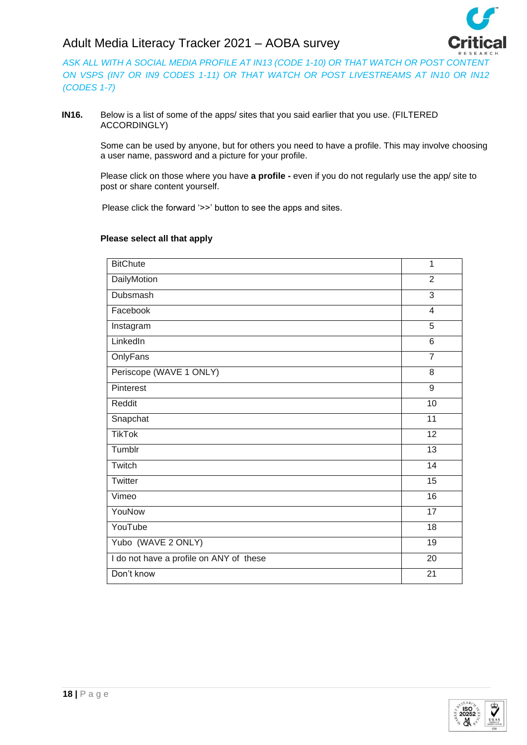*ASK ALL WITH A SOCIAL MEDIA PROFILE AT IN13 (CODE 1-10) OR THAT WATCH OR POST CONTENT ON VSPS (IN7 OR IN9 CODES 1-11) OR THAT WATCH OR POST LIVESTREAMS AT IN10 OR IN12 (CODES 1-7)*

**IN16.** Below is a list of some of the apps/ sites that you said earlier that you use. (FILTERED ACCORDINGLY)

> Some can be used by anyone, but for others you need to have a profile. This may involve choosing a user name, password and a picture for your profile.

Please click on those where you have **a profile -** even if you do not regularly use the app/ site to post or share content yourself.

Please click the forward '>>' button to see the apps and sites.

| <b>BitChute</b>                         | $\overline{1}$  |
|-----------------------------------------|-----------------|
| <b>DailyMotion</b>                      | $\overline{2}$  |
| Dubsmash                                | 3               |
| Facebook                                | $\overline{4}$  |
| Instagram                               | 5               |
| LinkedIn                                | $\overline{6}$  |
| OnlyFans                                | $\overline{7}$  |
| Periscope (WAVE 1 ONLY)                 | 8               |
| Pinterest                               | $\overline{9}$  |
| Reddit                                  | 10              |
| Snapchat                                | 11              |
| <b>TikTok</b>                           | $\overline{12}$ |
| Tumblr                                  | $\overline{13}$ |
| Twitch                                  | 14              |
| Twitter                                 | 15              |
| Vimeo                                   | 16              |
| YouNow                                  | 17              |
| YouTube                                 | $\overline{18}$ |
| Yubo (WAVE 2 ONLY)                      | 19              |
| I do not have a profile on ANY of these | 20              |
| Don't know                              | $\overline{21}$ |
|                                         |                 |

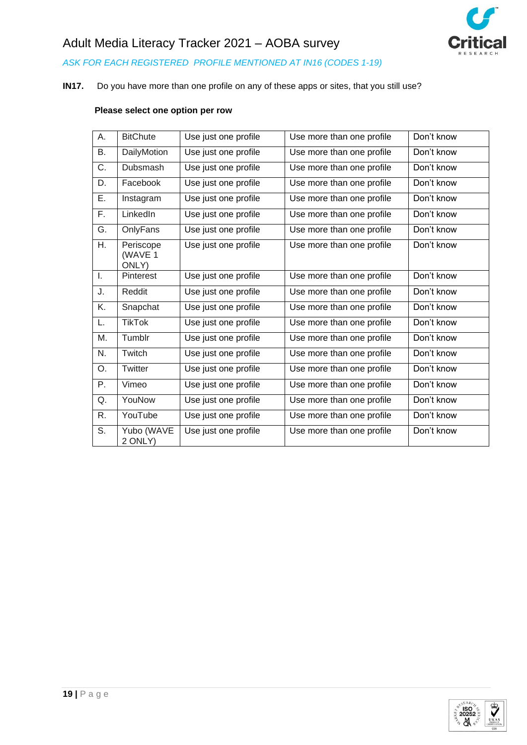

*ASK FOR EACH REGISTERED PROFILE MENTIONED AT IN16 (CODES 1-19)*

# **IN17.** Do you have more than one profile on any of these apps or sites, that you still use?

# **Please select one option per row**

| А. | <b>BitChute</b>               | Use just one profile | Use more than one profile | Don't know |
|----|-------------------------------|----------------------|---------------------------|------------|
| B. | <b>DailyMotion</b>            | Use just one profile | Use more than one profile | Don't know |
| C. | <b>Dubsmash</b>               | Use just one profile | Use more than one profile | Don't know |
| D. | Facebook                      | Use just one profile | Use more than one profile | Don't know |
| E. | Instagram                     | Use just one profile | Use more than one profile | Don't know |
| F. | LinkedIn                      | Use just one profile | Use more than one profile | Don't know |
| G. | OnlyFans                      | Use just one profile | Use more than one profile | Don't know |
| H. | Periscope<br>(WAVE 1<br>ONLY) | Use just one profile | Use more than one profile | Don't know |
| I. | Pinterest                     | Use just one profile | Use more than one profile | Don't know |
| J. | Reddit                        | Use just one profile | Use more than one profile | Don't know |
| K. | Snapchat                      | Use just one profile | Use more than one profile | Don't know |
| L. | <b>TikTok</b>                 | Use just one profile | Use more than one profile | Don't know |
| Μ. | Tumblr                        | Use just one profile | Use more than one profile | Don't know |
| N. | Twitch                        | Use just one profile | Use more than one profile | Don't know |
| O. | Twitter                       | Use just one profile | Use more than one profile | Don't know |
| Ρ. | Vimeo                         | Use just one profile | Use more than one profile | Don't know |
| Q. | YouNow                        | Use just one profile | Use more than one profile | Don't know |
| R. | YouTube                       | Use just one profile | Use more than one profile | Don't know |
| S. | Yubo (WAVE<br>2 ONLY)         | Use just one profile | Use more than one profile | Don't know |

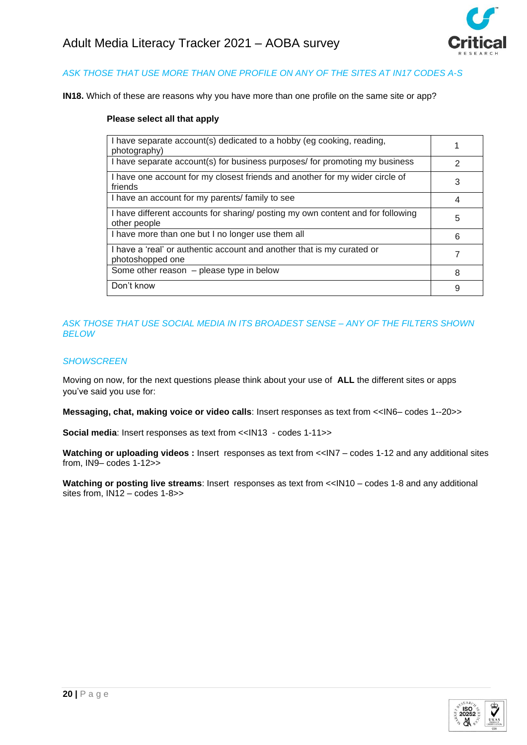

# *ASK THOSE THAT USE MORE THAN ONE PROFILE ON ANY OF THE SITES AT IN17 CODES A-S*

**IN18.** Which of these are reasons why you have more than one profile on the same site or app?

#### **Please select all that apply**

| I have separate account(s) dedicated to a hobby (eg cooking, reading,<br>photography)           |               |
|-------------------------------------------------------------------------------------------------|---------------|
| I have separate account(s) for business purposes/ for promoting my business                     | $\mathcal{P}$ |
| I have one account for my closest friends and another for my wider circle of<br>friends         | 3             |
| I have an account for my parents/ family to see                                                 | 4             |
| I have different accounts for sharing/ posting my own content and for following<br>other people | 5             |
| I have more than one but I no longer use them all                                               | 6             |
| I have a 'real' or authentic account and another that is my curated or<br>photoshopped one      |               |
| Some other reason $-$ please type in below                                                      | 8             |
| Don't know                                                                                      | 9             |

## *ASK THOSE THAT USE SOCIAL MEDIA IN ITS BROADEST SENSE – ANY OF THE FILTERS SHOWN BELOW*

#### *SHOWSCREEN*

Moving on now, for the next questions please think about your use of **ALL** the different sites or apps you've said you use for:

**Messaging, chat, making voice or video calls**: Insert responses as text from <<IN6– codes 1--20>>

**Social media**: Insert responses as text from <<IN13 - codes 1-11>>

**Watching or uploading videos :** Insert responses as text from <<IN7 – codes 1-12 and any additional sites from, IN9– codes 1-12>>

**Watching or posting live streams**: Insert responses as text from <<IN10 – codes 1-8 and any additional sites from, IN12 – codes 1-8>>

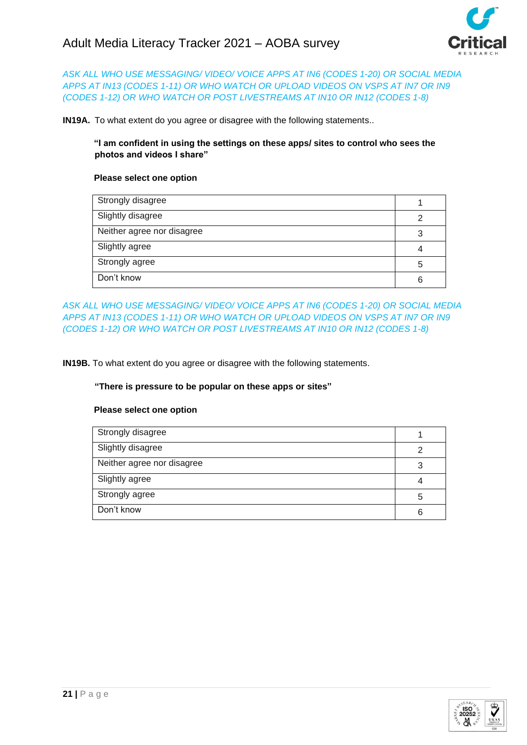

# *ASK ALL WHO USE MESSAGING/ VIDEO/ VOICE APPS AT IN6 (CODES 1-20) OR SOCIAL MEDIA APPS AT IN13 (CODES 1-11) OR WHO WATCH OR UPLOAD VIDEOS ON VSPS AT IN7 OR IN9 (CODES 1-12) OR WHO WATCH OR POST LIVESTREAMS AT IN10 OR IN12 (CODES 1-8)*

**IN19A.** To what extent do you agree or disagree with the following statements..

## **"I am confident in using the settings on these apps/ sites to control who sees the photos and videos I share"**

### **Please select one option**

| Strongly disagree          |   |
|----------------------------|---|
| Slightly disagree          | 2 |
| Neither agree nor disagree | 3 |
| Slightly agree             |   |
| Strongly agree             | 5 |
| Don't know                 | 6 |

*ASK ALL WHO USE MESSAGING/ VIDEO/ VOICE APPS AT IN6 (CODES 1-20) OR SOCIAL MEDIA APPS AT IN13 (CODES 1-11) OR WHO WATCH OR UPLOAD VIDEOS ON VSPS AT IN7 OR IN9 (CODES 1-12) OR WHO WATCH OR POST LIVESTREAMS AT IN10 OR IN12 (CODES 1-8)*

**IN19B.** To what extent do you agree or disagree with the following statements.

### **"There is pressure to be popular on these apps or sites"**

| Strongly disagree          |   |
|----------------------------|---|
| Slightly disagree          |   |
| Neither agree nor disagree | 3 |
| Slightly agree             |   |
| Strongly agree             | 5 |
| Don't know                 | 6 |

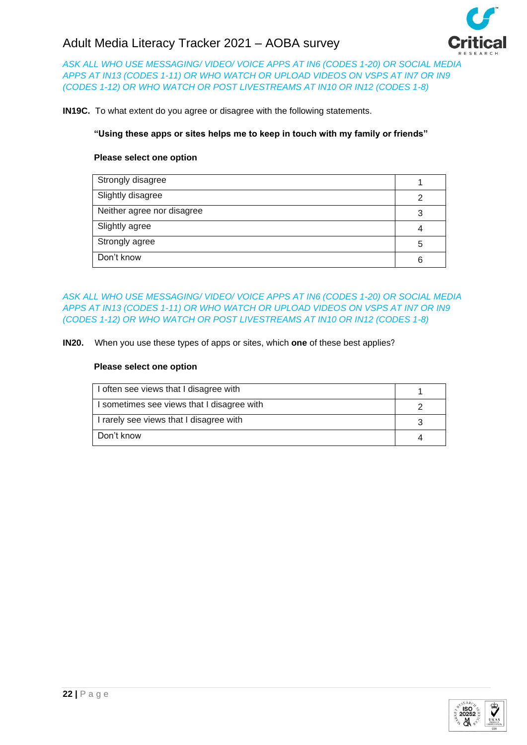

*ASK ALL WHO USE MESSAGING/ VIDEO/ VOICE APPS AT IN6 (CODES 1-20) OR SOCIAL MEDIA APPS AT IN13 (CODES 1-11) OR WHO WATCH OR UPLOAD VIDEOS ON VSPS AT IN7 OR IN9 (CODES 1-12) OR WHO WATCH OR POST LIVESTREAMS AT IN10 OR IN12 (CODES 1-8)*

**IN19C.** To what extent do you agree or disagree with the following statements.

## **"Using these apps or sites helps me to keep in touch with my family or friends"**

## **Please select one option**

| Strongly disagree          |   |
|----------------------------|---|
| Slightly disagree          | ⌒ |
| Neither agree nor disagree | 3 |
| Slightly agree             |   |
| Strongly agree             | 5 |
| Don't know                 |   |

*ASK ALL WHO USE MESSAGING/ VIDEO/ VOICE APPS AT IN6 (CODES 1-20) OR SOCIAL MEDIA APPS AT IN13 (CODES 1-11) OR WHO WATCH OR UPLOAD VIDEOS ON VSPS AT IN7 OR IN9 (CODES 1-12) OR WHO WATCH OR POST LIVESTREAMS AT IN10 OR IN12 (CODES 1-8)*

**IN20.** When you use these types of apps or sites, which **one** of these best applies?

| I often see views that I disagree with     |  |
|--------------------------------------------|--|
| I sometimes see views that I disagree with |  |
| I rarely see views that I disagree with    |  |
| Don't know                                 |  |

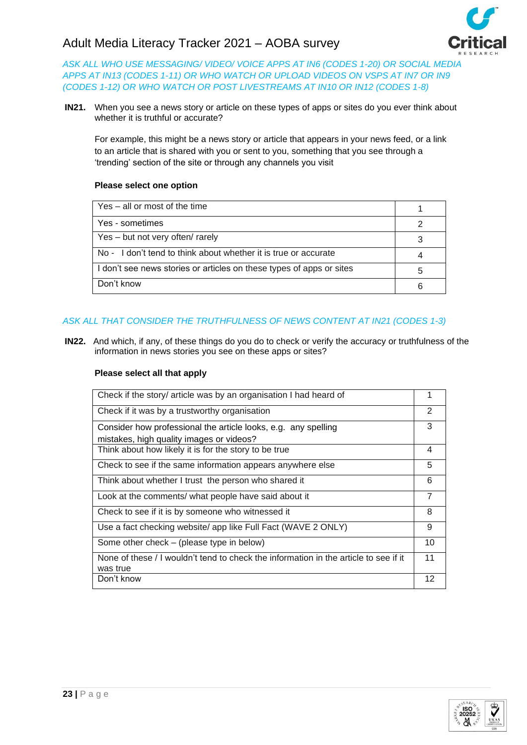

*ASK ALL WHO USE MESSAGING/ VIDEO/ VOICE APPS AT IN6 (CODES 1-20) OR SOCIAL MEDIA APPS AT IN13 (CODES 1-11) OR WHO WATCH OR UPLOAD VIDEOS ON VSPS AT IN7 OR IN9 (CODES 1-12) OR WHO WATCH OR POST LIVESTREAMS AT IN10 OR IN12 (CODES 1-8)*

**IN21.** When you see a news story or article on these types of apps or sites do you ever think about whether it is truthful or accurate?

For example, this might be a news story or article that appears in your news feed, or a link to an article that is shared with you or sent to you, something that you see through a 'trending' section of the site or through any channels you visit

## **Please select one option**

| Yes – all or most of the time                                        |   |
|----------------------------------------------------------------------|---|
| Yes - sometimes                                                      |   |
| Yes – but not very often/ rarely                                     |   |
| No - I don't tend to think about whether it is true or accurate      |   |
| I don't see news stories or articles on these types of apps or sites | 5 |
| Don't know                                                           | 6 |

# *ASK ALL THAT CONSIDER THE TRUTHFULNESS OF NEWS CONTENT AT IN21 (CODES 1-3)*

**IN22.** And which, if any, of these things do you do to check or verify the accuracy or truthfulness of the information in news stories you see on these apps or sites?

| Check if the story/ article was by an organisation I had heard of                    | 1              |
|--------------------------------------------------------------------------------------|----------------|
| Check if it was by a trustworthy organisation                                        | $\overline{2}$ |
| Consider how professional the article looks, e.g. any spelling                       | 3              |
| mistakes, high quality images or videos?                                             |                |
| Think about how likely it is for the story to be true                                | 4              |
| Check to see if the same information appears anywhere else                           | 5              |
| Think about whether I trust the person who shared it                                 | 6              |
| Look at the comments/ what people have said about it                                 | $\overline{7}$ |
| Check to see if it is by someone who witnessed it                                    | 8              |
| Use a fact checking website/ app like Full Fact (WAVE 2 ONLY)                        | 9              |
| Some other check – (please type in below)                                            | 10             |
| None of these / I wouldn't tend to check the information in the article to see if it | 11             |
| was true                                                                             |                |
| Don't know                                                                           | 12             |

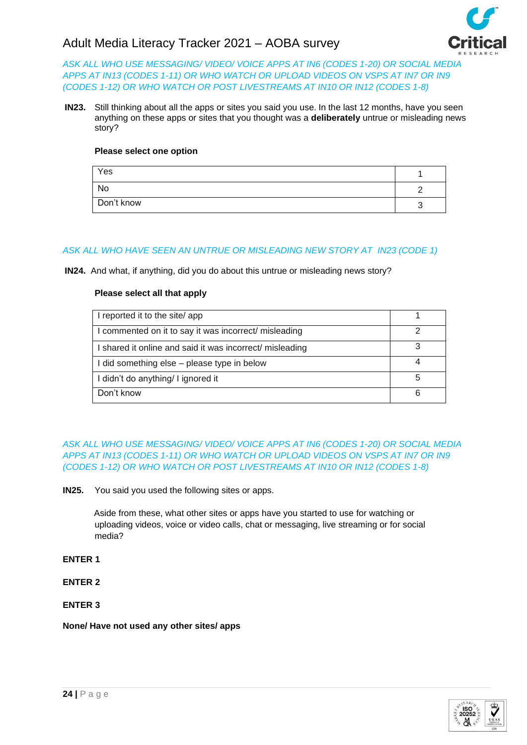

*ASK ALL WHO USE MESSAGING/ VIDEO/ VOICE APPS AT IN6 (CODES 1-20) OR SOCIAL MEDIA APPS AT IN13 (CODES 1-11) OR WHO WATCH OR UPLOAD VIDEOS ON VSPS AT IN7 OR IN9 (CODES 1-12) OR WHO WATCH OR POST LIVESTREAMS AT IN10 OR IN12 (CODES 1-8)*

**IN23.** Still thinking about all the apps or sites you said you use. In the last 12 months, have you seen anything on these apps or sites that you thought was a **deliberately** untrue or misleading news story?

## **Please select one option**

| Yes        |  |
|------------|--|
| No         |  |
| Don't know |  |

## *ASK ALL WHO HAVE SEEN AN UNTRUE OR MISLEADING NEW STORY AT IN23 (CODE 1)*

**IN24.** And what, if anything, did you do about this untrue or misleading news story?

### **Please select all that apply**

| I reported it to the site/app                            |  |
|----------------------------------------------------------|--|
| I commented on it to say it was incorrect/ misleading    |  |
| I shared it online and said it was incorrect/ misleading |  |
| I did something else - please type in below              |  |
| I didn't do anything/ I ignored it                       |  |
| Don't know                                               |  |

*ASK ALL WHO USE MESSAGING/ VIDEO/ VOICE APPS AT IN6 (CODES 1-20) OR SOCIAL MEDIA APPS AT IN13 (CODES 1-11) OR WHO WATCH OR UPLOAD VIDEOS ON VSPS AT IN7 OR IN9 (CODES 1-12) OR WHO WATCH OR POST LIVESTREAMS AT IN10 OR IN12 (CODES 1-8)*

**IN25.** You said you used the following sites or apps.

Aside from these, what other sites or apps have you started to use for watching or uploading videos, voice or video calls, chat or messaging, live streaming or for social media?

### **ENTER 1**

**ENTER 2**

## **ENTER 3**

### **None/ Have not used any other sites/ apps**

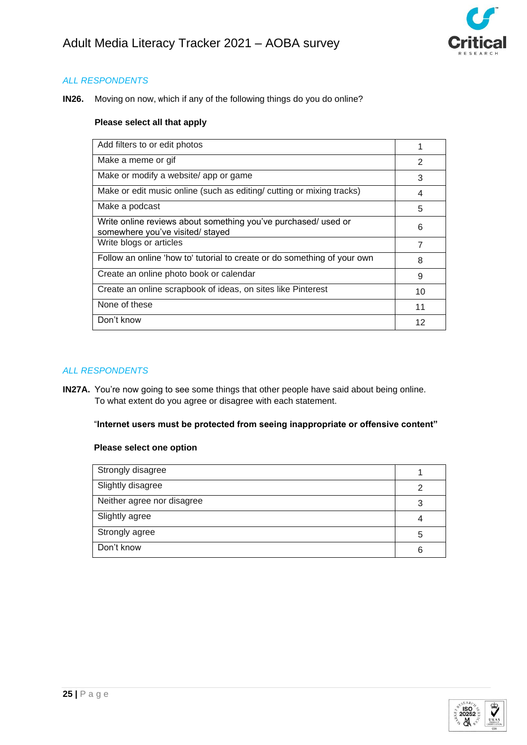

**IN26.** Moving on now, which if any of the following things do you do online?

### **Please select all that apply**

| Add filters to or edit photos                                                                      |    |
|----------------------------------------------------------------------------------------------------|----|
| Make a meme or gif                                                                                 | 2  |
| Make or modify a website/ app or game                                                              | 3  |
| Make or edit music online (such as editing/ cutting or mixing tracks)                              | 4  |
| Make a podcast                                                                                     | 5  |
| Write online reviews about something you've purchased/ used or<br>somewhere you've visited/ stayed | 6  |
| Write blogs or articles                                                                            | 7  |
| Follow an online 'how to' tutorial to create or do something of your own                           | 8  |
| Create an online photo book or calendar                                                            | 9  |
| Create an online scrapbook of ideas, on sites like Pinterest                                       | 10 |
| None of these                                                                                      | 11 |
| Don't know                                                                                         | 12 |
|                                                                                                    |    |

## *ALL RESPONDENTS*

**IN27A.** You're now going to see some things that other people have said about being online. To what extent do you agree or disagree with each statement.

## "**Internet users must be protected from seeing inappropriate or offensive content"**

| Strongly disagree          |   |
|----------------------------|---|
| Slightly disagree          | ⌒ |
| Neither agree nor disagree |   |
| Slightly agree             |   |
| Strongly agree             | 5 |
| Don't know                 | 6 |

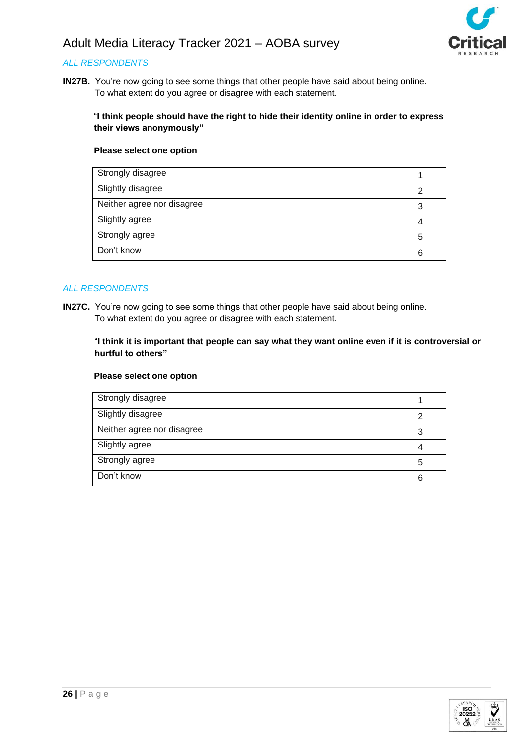

# *ALL RESPONDENTS*

**IN27B.** You're now going to see some things that other people have said about being online. To what extent do you agree or disagree with each statement.

## "**I think people should have the right to hide their identity online in order to express their views anonymously"**

## **Please select one option**

| Strongly disagree          |   |
|----------------------------|---|
| Slightly disagree          |   |
| Neither agree nor disagree |   |
| Slightly agree             |   |
| Strongly agree             | 5 |
| Don't know                 | 6 |

### *ALL RESPONDENTS*

**IN27C.** You're now going to see some things that other people have said about being online. To what extent do you agree or disagree with each statement.

### "**I think it is important that people can say what they want online even if it is controversial or hurtful to others"**

| Strongly disagree          |   |
|----------------------------|---|
| Slightly disagree          | າ |
| Neither agree nor disagree | 3 |
| Slightly agree             |   |
| Strongly agree             | 5 |
| Don't know                 | 6 |

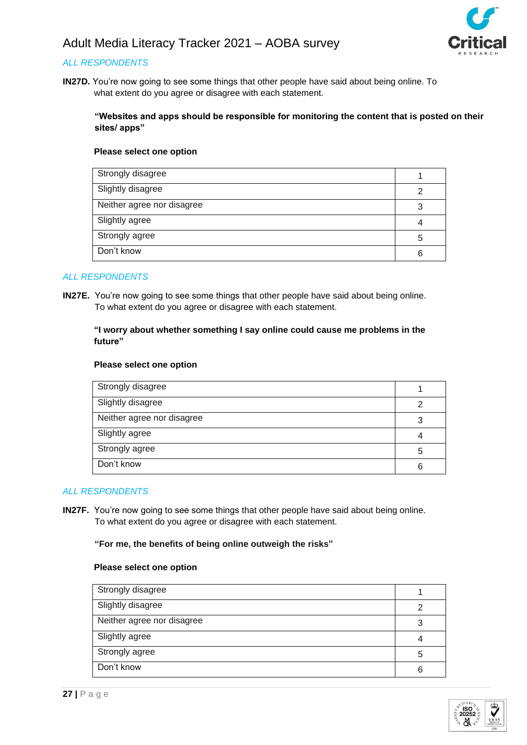

# *ALL RESPONDENTS*

**IN27D.** You're now going to see some things that other people have said about being online. To what extent do you agree or disagree with each statement.

### **"Websites and apps should be responsible for monitoring the content that is posted on their sites/ apps"**

#### **Please select one option**

| Strongly disagree          |   |
|----------------------------|---|
| Slightly disagree          | っ |
| Neither agree nor disagree | 3 |
| Slightly agree             |   |
| Strongly agree             | 5 |
| Don't know                 | 6 |

## *ALL RESPONDENTS*

**IN27E.** You're now going to see some things that other people have said about being online. To what extent do you agree or disagree with each statement.

## **"I worry about whether something I say online could cause me problems in the future"**

#### **Please select one option**

| Strongly disagree          |   |
|----------------------------|---|
| Slightly disagree          | っ |
| Neither agree nor disagree | 3 |
| Slightly agree             |   |
| Strongly agree             | 5 |
| Don't know                 | հ |

### *ALL RESPONDENTS*

**IN27F.** You're now going to see some things that other people have said about being online. To what extent do you agree or disagree with each statement.

#### **"For me, the benefits of being online outweigh the risks"**

| Strongly disagree          |   |
|----------------------------|---|
| Slightly disagree          | ⌒ |
| Neither agree nor disagree | 3 |
| Slightly agree             |   |
| Strongly agree             | 5 |
| Don't know                 | 6 |

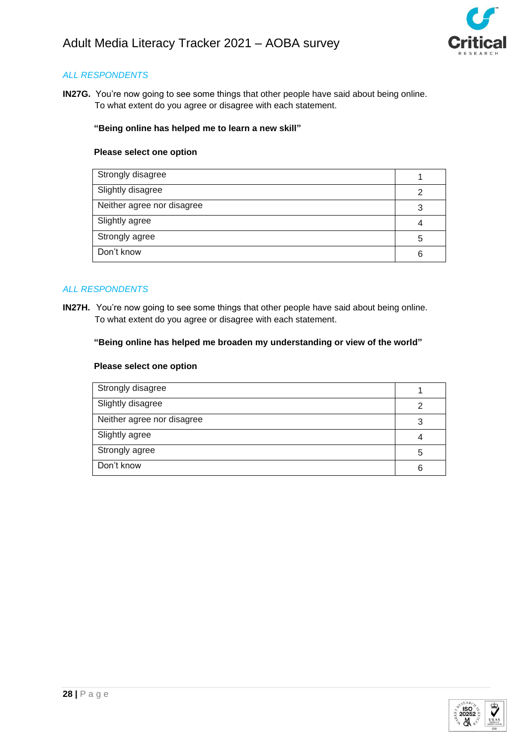

**IN27G.** You're now going to see some things that other people have said about being online. To what extent do you agree or disagree with each statement.

#### **"Being online has helped me to learn a new skill"**

#### **Please select one option**

| Strongly disagree          |   |
|----------------------------|---|
| Slightly disagree          |   |
| Neither agree nor disagree |   |
| Slightly agree             |   |
| Strongly agree             | 5 |
| Don't know                 | 6 |

## *ALL RESPONDENTS*

**IN27H.** You're now going to see some things that other people have said about being online. To what extent do you agree or disagree with each statement.

#### **"Being online has helped me broaden my understanding or view of the world"**

| 3 |
|---|
|   |
|   |
| 5 |
|   |
| 6 |
|   |

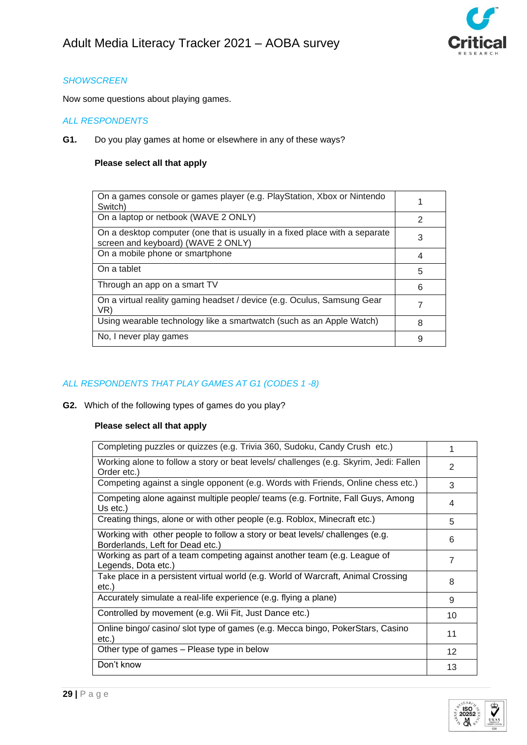

# *SHOWSCREEN*

Now some questions about playing games.

# *ALL RESPONDENTS*

**G1.** Do you play games at home or elsewhere in any of these ways?

## **Please select all that apply**

| On a games console or games player (e.g. PlayStation, Xbox or Nintendo<br>Switch)                                 |   |
|-------------------------------------------------------------------------------------------------------------------|---|
| On a laptop or netbook (WAVE 2 ONLY)                                                                              | 2 |
| On a desktop computer (one that is usually in a fixed place with a separate<br>screen and keyboard) (WAVE 2 ONLY) | 3 |
| On a mobile phone or smartphone                                                                                   | 4 |
| On a tablet                                                                                                       | 5 |
| Through an app on a smart TV                                                                                      | 6 |
| On a virtual reality gaming headset / device (e.g. Oculus, Samsung Gear<br>VR)                                    |   |
| Using wearable technology like a smartwatch (such as an Apple Watch)                                              | 8 |
| No, I never play games                                                                                            | 9 |

# *ALL RESPONDENTS THAT PLAY GAMES AT G1 (CODES 1 -8)*

**G2.** Which of the following types of games do you play?

| Completing puzzles or quizzes (e.g. Trivia 360, Sudoku, Candy Crush etc.)                                        |                |
|------------------------------------------------------------------------------------------------------------------|----------------|
| Working alone to follow a story or beat levels/ challenges (e.g. Skyrim, Jedi: Fallen<br>Order etc.)             | $\mathfrak{p}$ |
| Competing against a single opponent (e.g. Words with Friends, Online chess etc.)                                 | 3              |
| Competing alone against multiple people/ teams (e.g. Fortnite, Fall Guys, Among<br>Us $etc.$ )                   | 4              |
| Creating things, alone or with other people (e.g. Roblox, Minecraft etc.)                                        | 5              |
| Working with other people to follow a story or beat levels/ challenges (e.g.<br>Borderlands, Left for Dead etc.) | 6              |
| Working as part of a team competing against another team (e.g. League of<br>Legends, Dota etc.)                  | 7              |
| Take place in a persistent virtual world (e.g. World of Warcraft, Animal Crossing<br>etc.)                       | 8              |
| Accurately simulate a real-life experience (e.g. flying a plane)                                                 | 9              |
| Controlled by movement (e.g. Wii Fit, Just Dance etc.)                                                           | 10             |
| Online bingo/ casino/ slot type of games (e.g. Mecca bingo, PokerStars, Casino<br>etc.)                          | 11             |
| Other type of games – Please type in below                                                                       | 12             |
| Don't know                                                                                                       | 13             |

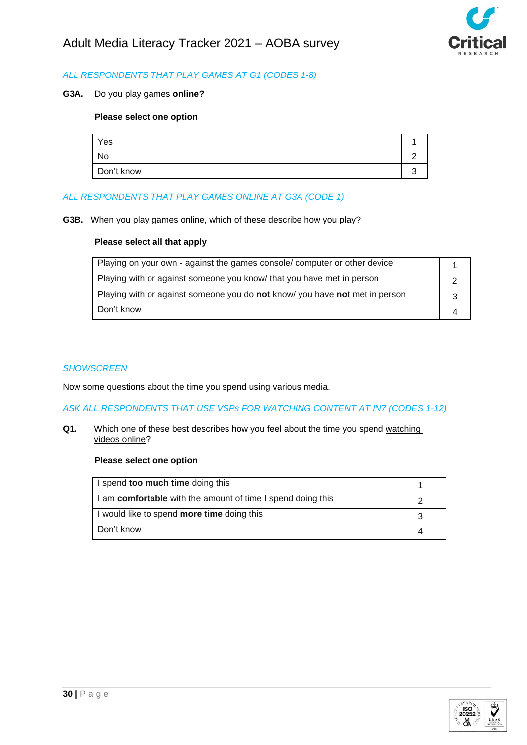

# *ALL RESPONDENTS THAT PLAY GAMES AT G1 (CODES 1-8)*

**G3A.** Do you play games **online?**

# **Please select one option**

| Yes        |  |
|------------|--|
| No         |  |
| Don't know |  |

# *ALL RESPONDENTS THAT PLAY GAMES ONLINE AT G3A (CODE 1)*

**G3B.** When you play games online, which of these describe how you play?

### **Please select all that apply**

| Playing on your own - against the games console/ computer or other device   |  |
|-----------------------------------------------------------------------------|--|
| Playing with or against someone you know/ that you have met in person       |  |
| Playing with or against someone you do not know/ you have not met in person |  |
| Don't know                                                                  |  |

#### *SHOWSCREEN*

Now some questions about the time you spend using various media.

*ASK ALL RESPONDENTS THAT USE VSPs FOR WATCHING CONTENT AT IN7 (CODES 1-12)*

**Q1.** Which one of these best describes how you feel about the time you spend watching videos online?

| I spend too much time doing this                            |  |
|-------------------------------------------------------------|--|
| I am comfortable with the amount of time I spend doing this |  |
| I would like to spend more time doing this                  |  |
| Don't know                                                  |  |

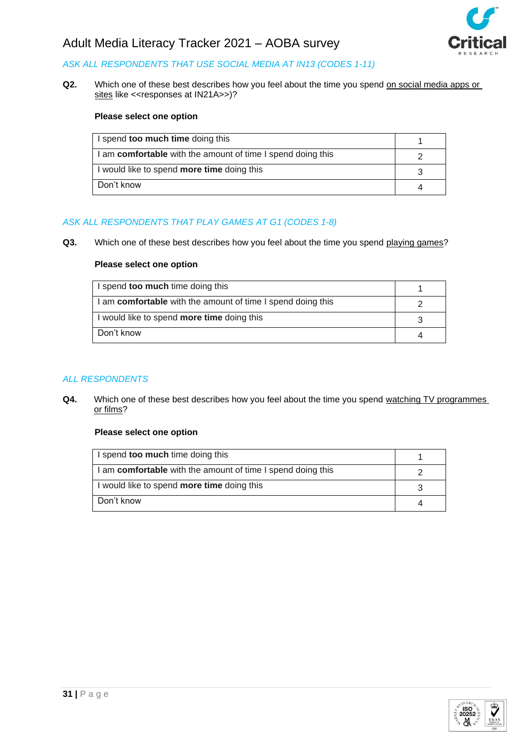

# *ASK ALL RESPONDENTS THAT USE SOCIAL MEDIA AT IN13 (CODES 1-11)*

**Q2.** Which one of these best describes how you feel about the time you spend on social media apps or sites like <<responses at IN21A>>)?

### **Please select one option**

| I spend too much time doing this                            |  |
|-------------------------------------------------------------|--|
| I am comfortable with the amount of time I spend doing this |  |
| I would like to spend <b>more time</b> doing this           |  |
| Don't know                                                  |  |

# *ASK ALL RESPONDENTS THAT PLAY GAMES AT G1 (CODES 1-8)*

**Q3.** Which one of these best describes how you feel about the time you spend playing games?

#### **Please select one option**

| I spend too much time doing this                            |  |
|-------------------------------------------------------------|--|
| I am comfortable with the amount of time I spend doing this |  |
| I would like to spend <b>more time</b> doing this           |  |
| Don't know                                                  |  |

# *ALL RESPONDENTS*

**Q4.** Which one of these best describes how you feel about the time you spend watching TV programmes or films?

| I spend too much time doing this                            |  |
|-------------------------------------------------------------|--|
| I am comfortable with the amount of time I spend doing this |  |
| I would like to spend <b>more time</b> doing this           |  |
| Don't know                                                  |  |

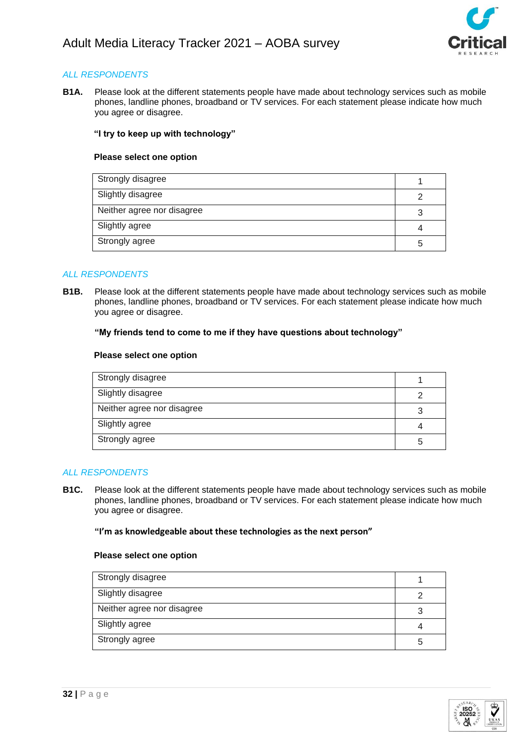

**B1A.** Please look at the different statements people have made about technology services such as mobile phones, landline phones, broadband or TV services. For each statement please indicate how much you agree or disagree.

## **"I try to keep up with technology"**

#### **Please select one option**

| Strongly disagree          |  |
|----------------------------|--|
| Slightly disagree          |  |
| Neither agree nor disagree |  |
| Slightly agree             |  |
| Strongly agree             |  |

### *ALL RESPONDENTS*

**B1B.** Please look at the different statements people have made about technology services such as mobile phones, landline phones, broadband or TV services. For each statement please indicate how much you agree or disagree.

#### **"My friends tend to come to me if they have questions about technology"**

#### **Please select one option**

| Strongly disagree          |   |
|----------------------------|---|
| Slightly disagree          | າ |
| Neither agree nor disagree | 3 |
| Slightly agree             | 4 |
| Strongly agree             | 5 |

### *ALL RESPONDENTS*

**B1C.** Please look at the different statements people have made about technology services such as mobile phones, landline phones, broadband or TV services. For each statement please indicate how much you agree or disagree.

#### **"I'm as knowledgeable about these technologies as the next person"**

| Strongly disagree          |   |
|----------------------------|---|
| Slightly disagree          | っ |
| Neither agree nor disagree |   |
| Slightly agree             |   |
| Strongly agree             | 5 |

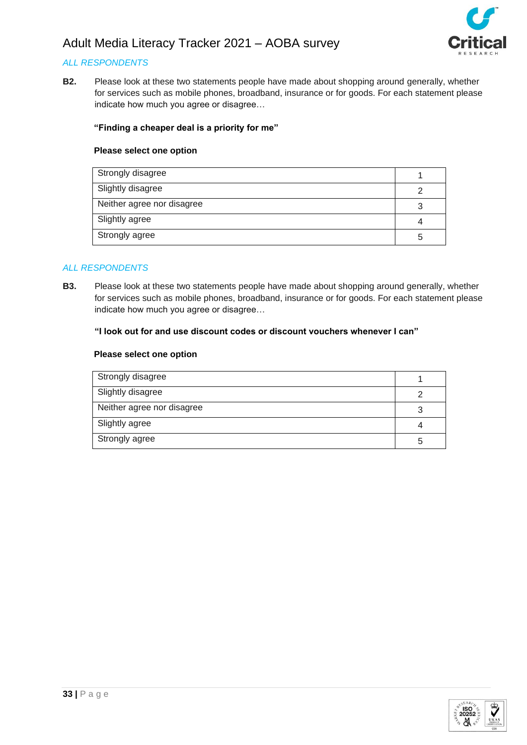

## *ALL RESPONDENTS*

**B2.** Please look at these two statements people have made about shopping around generally, whether for services such as mobile phones, broadband, insurance or for goods. For each statement please indicate how much you agree or disagree…

### **"Finding a cheaper deal is a priority for me"**

#### **Please select one option**

| Strongly disagree          |    |
|----------------------------|----|
| Slightly disagree          |    |
| Neither agree nor disagree |    |
| Slightly agree             |    |
| Strongly agree             | :C |

### *ALL RESPONDENTS*

**B3.** Please look at these two statements people have made about shopping around generally, whether for services such as mobile phones, broadband, insurance or for goods. For each statement please indicate how much you agree or disagree…

#### **"I look out for and use discount codes or discount vouchers whenever I can"**

| Strongly disagree          |   |
|----------------------------|---|
| Slightly disagree          |   |
| Neither agree nor disagree |   |
| Slightly agree             |   |
| Strongly agree             | h |

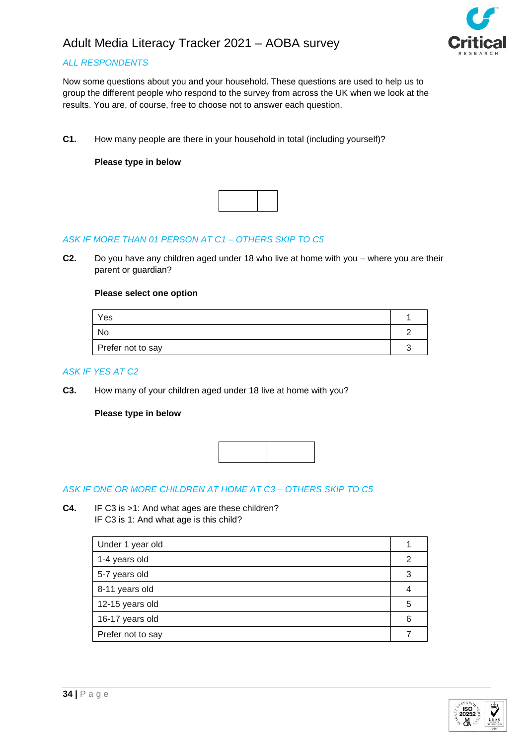

# *ALL RESPONDENTS*

Now some questions about you and your household. These questions are used to help us to group the different people who respond to the survey from across the UK when we look at the results. You are, of course, free to choose not to answer each question.

**C1.** How many people are there in your household in total (including yourself)?

## **Please type in below**



# *ASK IF MORE THAN 01 PERSON AT C1 – OTHERS SKIP TO C5*

**C2.** Do you have any children aged under 18 who live at home with you – where you are their parent or guardian?

#### **Please select one option**

| Yes               |  |
|-------------------|--|
| No                |  |
| Prefer not to say |  |

#### *ASK IF YES AT C2*

**C3.** How many of your children aged under 18 live at home with you?

## **Please type in below**



### *ASK IF ONE OR MORE CHILDREN AT HOME AT C3 – OTHERS SKIP TO C5*

**C4.** IF C3 is >1: And what ages are these children? IF C3 is 1: And what age is this child?

| Under 1 year old  |   |
|-------------------|---|
| 1-4 years old     |   |
| 5-7 years old     |   |
| 8-11 years old    |   |
| 12-15 years old   | 5 |
| 16-17 years old   | 6 |
| Prefer not to say |   |

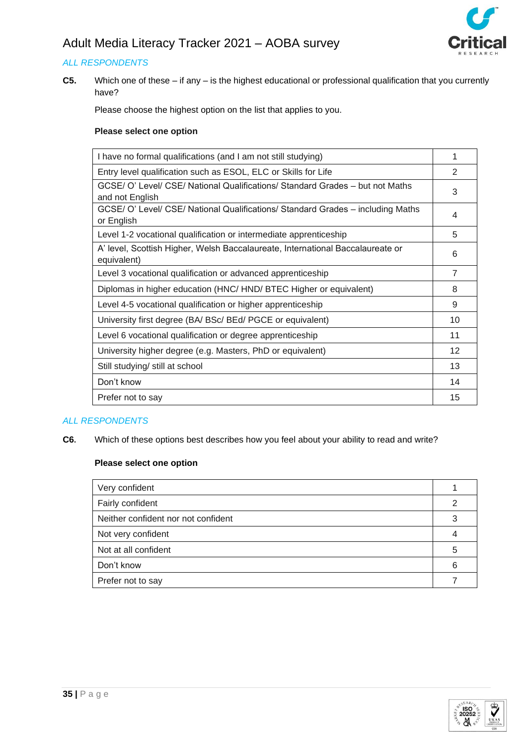

# *ALL RESPONDENTS*

**C5.** Which one of these – if any – is the highest educational or professional qualification that you currently have?

Please choose the highest option on the list that applies to you.

## **Please select one option**

| I have no formal qualifications (and I am not still studying)                                    | 1              |
|--------------------------------------------------------------------------------------------------|----------------|
| Entry level qualification such as ESOL, ELC or Skills for Life                                   | $\mathcal{P}$  |
| GCSE/ O' Level/ CSE/ National Qualifications/ Standard Grades - but not Maths<br>and not English | 3              |
| GCSE/ O' Level/ CSE/ National Qualifications/ Standard Grades - including Maths<br>or English    | 4              |
| Level 1-2 vocational qualification or intermediate apprenticeship                                | 5              |
| A' level, Scottish Higher, Welsh Baccalaureate, International Baccalaureate or<br>equivalent)    | 6              |
| Level 3 vocational qualification or advanced apprenticeship                                      | $\overline{7}$ |
| Diplomas in higher education (HNC/HND/BTEC Higher or equivalent)                                 | 8              |
| Level 4-5 vocational qualification or higher apprenticeship                                      | 9              |
| University first degree (BA/ BSc/ BEd/ PGCE or equivalent)                                       | 10             |
| Level 6 vocational qualification or degree apprenticeship                                        | 11             |
| University higher degree (e.g. Masters, PhD or equivalent)                                       | 12             |
| Still studying/ still at school                                                                  | 13             |
| Don't know                                                                                       | 14             |
| Prefer not to say                                                                                | 15             |

### *ALL RESPONDENTS*

**C6.** Which of these options best describes how you feel about your ability to read and write?

| Very confident                      |   |
|-------------------------------------|---|
| Fairly confident                    | 2 |
| Neither confident nor not confident | 3 |
| Not very confident                  |   |
| Not at all confident                | 5 |
| Don't know                          | 6 |
| Prefer not to say                   |   |

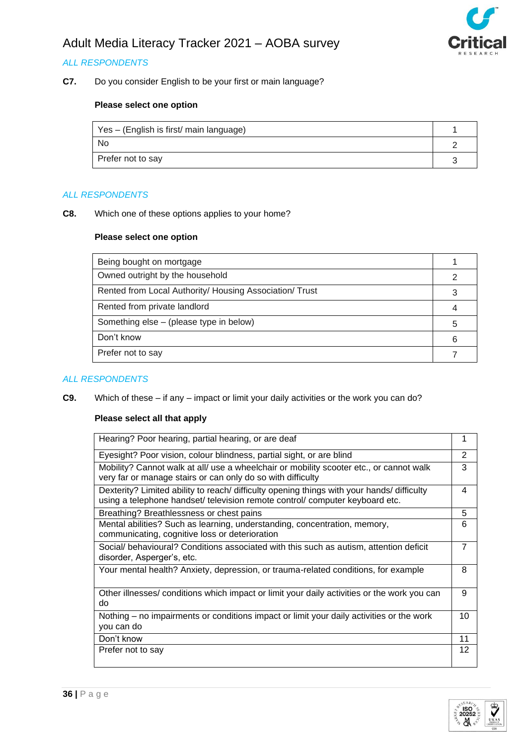

# *ALL RESPONDENTS*

**C7.** Do you consider English to be your first or main language?

# **Please select one option**

| Yes – (English is first/ main language) |  |
|-----------------------------------------|--|
| No.                                     |  |
| Prefer not to say                       |  |

#### *ALL RESPONDENTS*

**C8.** Which one of these options applies to your home?

#### **Please select one option**

| Being bought on mortgage                                |   |
|---------------------------------------------------------|---|
| Owned outright by the household                         |   |
| Rented from Local Authority/ Housing Association/ Trust |   |
| Rented from private landlord                            |   |
| Something else – (please type in below)                 | 5 |
| Don't know                                              | 6 |
| Prefer not to say                                       |   |

### *ALL RESPONDENTS*

**C9.** Which of these – if any – impact or limit your daily activities or the work you can do?

| Hearing? Poor hearing, partial hearing, or are deaf                                                                                                                        |                |  |
|----------------------------------------------------------------------------------------------------------------------------------------------------------------------------|----------------|--|
| Eyesight? Poor vision, colour blindness, partial sight, or are blind                                                                                                       |                |  |
| Mobility? Cannot walk at all/ use a wheelchair or mobility scooter etc., or cannot walk<br>very far or manage stairs or can only do so with difficulty                     |                |  |
| Dexterity? Limited ability to reach/ difficulty opening things with your hands/ difficulty<br>using a telephone handset/ television remote control/ computer keyboard etc. | 4              |  |
| Breathing? Breathlessness or chest pains                                                                                                                                   | 5              |  |
| Mental abilities? Such as learning, understanding, concentration, memory,<br>communicating, cognitive loss or deterioration                                                | 6              |  |
| Social/ behavioural? Conditions associated with this such as autism, attention deficit<br>disorder, Asperger's, etc.                                                       | $\overline{7}$ |  |
| Your mental health? Anxiety, depression, or trauma-related conditions, for example                                                                                         | 8              |  |
| Other illnesses/ conditions which impact or limit your daily activities or the work you can<br>do                                                                          | 9              |  |
| Nothing – no impairments or conditions impact or limit your daily activities or the work<br>you can do                                                                     | 10             |  |
| Don't know                                                                                                                                                                 | 11             |  |
| Prefer not to say                                                                                                                                                          | 12             |  |

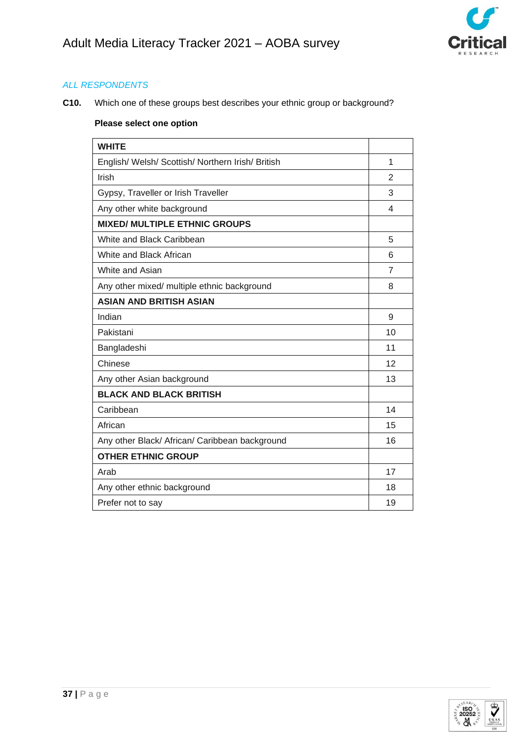

**C10.** Which one of these groups best describes your ethnic group or background?

| <b>WHITE</b>                                      |                |  |
|---------------------------------------------------|----------------|--|
| English/ Welsh/ Scottish/ Northern Irish/ British |                |  |
| Irish                                             | $\overline{2}$ |  |
| Gypsy, Traveller or Irish Traveller               |                |  |
| Any other white background                        | 4              |  |
| <b>MIXED/ MULTIPLE ETHNIC GROUPS</b>              |                |  |
| White and Black Caribbean                         | 5              |  |
| White and Black African                           | 6              |  |
| White and Asian                                   | 7              |  |
| Any other mixed/ multiple ethnic background       | 8              |  |
| <b>ASIAN AND BRITISH ASIAN</b>                    |                |  |
| Indian                                            | 9              |  |
| Pakistani                                         | 10             |  |
| Bangladeshi                                       |                |  |
| Chinese                                           | 12             |  |
| Any other Asian background                        | 13             |  |
| <b>BLACK AND BLACK BRITISH</b>                    |                |  |
| Caribbean                                         | 14             |  |
| African                                           | 15             |  |
| Any other Black/ African/ Caribbean background    | 16             |  |
| <b>OTHER ETHNIC GROUP</b>                         |                |  |
| Arab                                              | 17             |  |
| Any other ethnic background                       | 18             |  |
| Prefer not to say                                 | 19             |  |